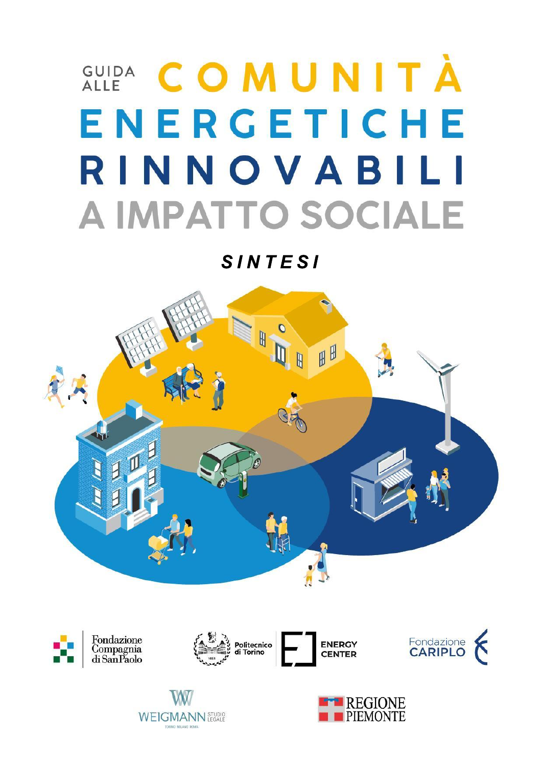# **GUIDA COMUNITÀ** ENERGETICHE RINNOVABILI **A IMPATTO SOCIALE**

**SINTESI** 







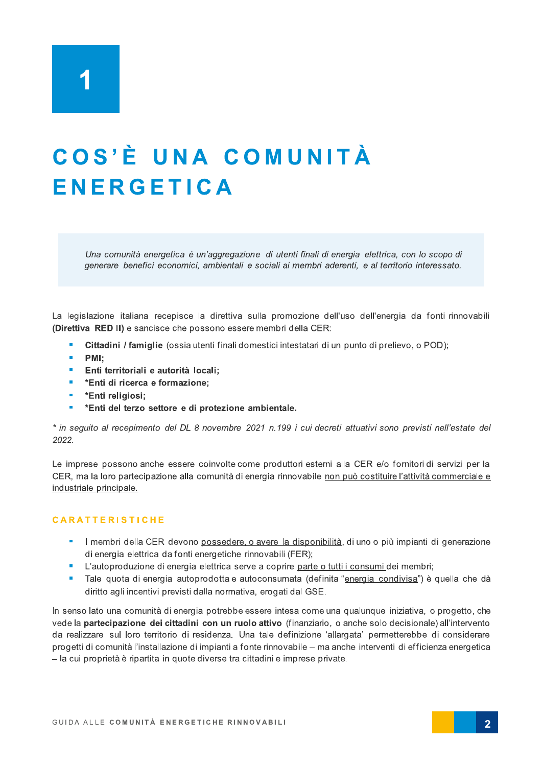### COS'È UNA COMUNITÀ **ENERGETICA**

Una comunità energetica è un'aggregazione di utenti finali di energia elettrica, con lo scopo di generare benefici economici, ambientali e sociali ai membri aderenti, e al territorio interessato.

La legislazione italiana recepisce la direttiva sulla promozione dell'uso dell'energia da fonti rinnovabili (Direttiva RED II) e sancisce che possono essere membri della CER:

- Cittadini / famiglie (ossia utenti finali domestici intestatari di un punto di prelievo, o POD);
- × PMI:
- Î. Enti territoriali e autorità locali:
- $\mathbf{u}$ \*Enti di ricerca e formazione;
- \*Enti religiosi:  $\mathbf{m}$
- \*Enti del terzo settore e di protezione ambientale.

\* in sequito al recepimento del DL 8 novembre 2021 n.199 i cui decreti attuativi sono previsti nell'estate del 2022.

Le imprese possono anche essere coinvolte come produttori esterni alla CER e/o fornitori di servizi per la CER, ma la loro partecipazione alla comunità di energia rinnovabile non può costituire l'attività commerciale e industriale principale.

### **CARATTERISTICHE**

- Imembri della CER devono possedere, o avere la disponibilità, di uno o più impianti di generazione di energia elettrica da fonti energetiche rinnovabili (FER);
- L'autoproduzione di energia elettrica serve a coprire parte o tutti i consumi dei membri;
- Tale quota di energia autoprodotta e autoconsumata (definita "energia condivisa") è quella che dà m. diritto agli incentivi previsti dalla normativa, erogati dal GSE.

In senso lato una comunità di energia potrebbe essere intesa come una qualunque iniziativa, o progetto, che vede la partecipazione dei cittadini con un ruolo attivo (finanziario, o anche solo decisionale) all'intervento da realizzare sul loro territorio di residenza. Una tale definizione 'allargata' permetterebbe di considerare progetti di comunità l'installazione di impianti a fonte rinnovabile – ma anche interventi di efficienza energetica - la cui proprietà è ripartita in quote diverse tra cittadini e imprese private.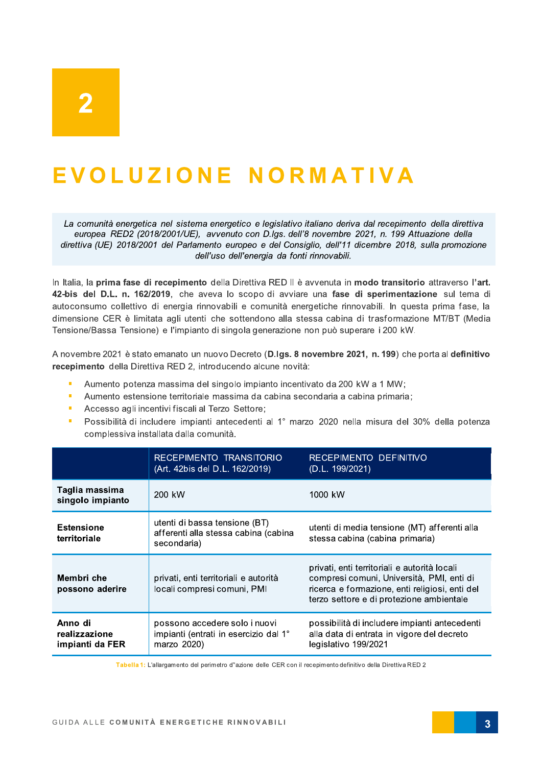### EVOLUZIONE NORMATIVA

La comunità energetica nel sistema energetico e legislativo italiano deriva dal recepimento della direttiva europea RED2 (2018/2001/UE), avvenuto con D.Igs. dell'8 novembre 2021, n. 199 Attuazione della direttiva (UE) 2018/2001 del Parlamento europeo e del Consiglio, dell'11 dicembre 2018, sulla promozione dell'uso dell'energia da fonti rinnovabili.

In Italia, la prima fase di recepimento della Direttiva RED II è avvenuta in modo transitorio attraverso l'art. 42-bis del D.L. n. 162/2019, che aveva lo scopo di avviare una fase di sperimentazione sul tema di autoconsumo collettivo di energia rinnovabili e comunità energetiche rinnovabili. In questa prima fase, la dimensione CER è limitata agli utenti che sottendono alla stessa cabina di trasformazione MT/BT (Media Tensione/Bassa Tensione) e l'impianto di singola generazione non può superare i 200 kW.

A novembre 2021 è stato emanato un nuovo Decreto (D.Igs. 8 novembre 2021, n. 199) che porta al definitivo recepimento della Direttiva RED 2, introducendo alcune novità:

- Aumento potenza massima del singolo impianto incentivato da 200 kW a 1 MW;
- Aumento estensione territoriale massima da cabina secondaria a cabina primaria; i.
- à. Accesso agli incentivi fiscali al Terzo Settore;
- Î. Possibilità di includere impianti antecedenti al 1º marzo 2020 nella misura del 30% della potenza complessiva installata dalla comunità.

|                                             | RECEPIMENTO TRANSITORIO<br>(Art. 42bis del D.L. 162/2019)                             | RECEPIMENTO DEFINITIVO<br>(D.L. 199/2021)                                                                                                                                               |  |
|---------------------------------------------|---------------------------------------------------------------------------------------|-----------------------------------------------------------------------------------------------------------------------------------------------------------------------------------------|--|
| Taglia massima<br>singolo impianto          | 200 kW                                                                                | 1000 kW                                                                                                                                                                                 |  |
| <b>Estensione</b><br>territoriale           | utenti di bassa tensione (BT)<br>afferenti alla stessa cabina (cabina<br>secondaria)  | utenti di media tensione (MT) afferenti alla<br>stessa cabina (cabina primaria)                                                                                                         |  |
| Membri che<br>possono aderire               | privati, enti territoriali e autorità<br>locali compresi comuni, PMI                  | privati, enti territoriali e autorità locali<br>compresi comuni, Università, PMI, enti di<br>ricerca e formazione, enti religiosi, enti del<br>terzo settore e di protezione ambientale |  |
| Anno di<br>realizzazione<br>impianti da FER | possono accedere solo i nuovi<br>impianti (entrati in esercizio dal 1°<br>marzo 2020) | possibilità di includere impianti antecedenti<br>alla data di entrata in vigore del decreto<br>legislativo 199/2021                                                                     |  |

Tabella 1: L'allargamento del perimetro d''azione delle CER con il recepimento definitivo della Direttiva RED 2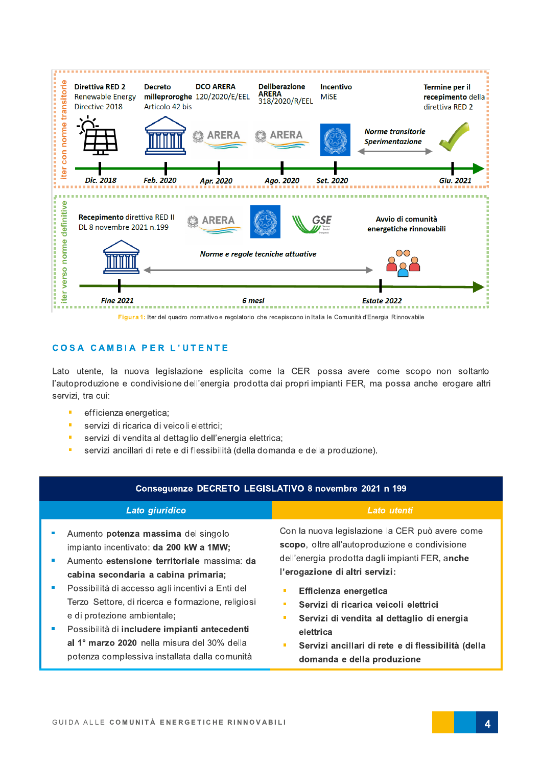

Figura 1: Iter del quadro normativo e regolatorio che recepiscono in Italia le Comunità d'Energia Rinnovabile

#### **COSA CAMBIA PER L'UTENTE**

Lato utente, la nuova legislazione esplicita come la CER possa avere come scopo non soltanto l'autoproduzione e condivisione dell'energia prodotta dai propri impianti FER, ma possa anche erogare altri servizi, tra cui:

- $\blacksquare$ efficienza energetica;
- Î. servizi di ricarica di veicoli elettrici;
- servizi di vendita al dettaglio dell'energia elettrica; Ì.
- Î, servizi ancillari di rete e di flessibilità (della domanda e della produzione).

| Conseguenze DECRETO LEGISLATIVO 8 novembre 2021 n 199 |                                                                                                                                                                                                                                                                                                                                                                                                                                                               |                                                                                                                                                                                                                                                                                                                                                                                                                   |  |  |  |
|-------------------------------------------------------|---------------------------------------------------------------------------------------------------------------------------------------------------------------------------------------------------------------------------------------------------------------------------------------------------------------------------------------------------------------------------------------------------------------------------------------------------------------|-------------------------------------------------------------------------------------------------------------------------------------------------------------------------------------------------------------------------------------------------------------------------------------------------------------------------------------------------------------------------------------------------------------------|--|--|--|
|                                                       | Lato giuridico                                                                                                                                                                                                                                                                                                                                                                                                                                                | Lato utenti                                                                                                                                                                                                                                                                                                                                                                                                       |  |  |  |
| w<br><b>In</b><br>m.                                  | Aumento potenza massima del singolo<br>impianto incentivato: da 200 kW a 1MW;<br>Aumento estensione territoriale massima: da<br>cabina secondaria a cabina primaria;<br>Possibilità di accesso agli incentivi a Enti del<br>Terzo Settore, di ricerca e formazione, religiosi<br>e di protezione ambientale;<br>Possibilità di includere impianti antecedenti<br>al 1º marzo 2020 nella misura del 30% della<br>potenza complessiva installata dalla comunità | Con la nuova legislazione la CER può avere come<br>scopo, oltre all'autoproduzione e condivisione<br>dell'energia prodotta dagli impianti FER, anche<br>l'erogazione di altri servizi:<br>Efficienza energetica<br>Servizi di ricarica veicoli elettrici<br>п<br>Servizi di vendita al dettaglio di energia<br>п<br>elettrica<br>Servizi ancillari di rete e di flessibilità (della<br>domanda e della produzione |  |  |  |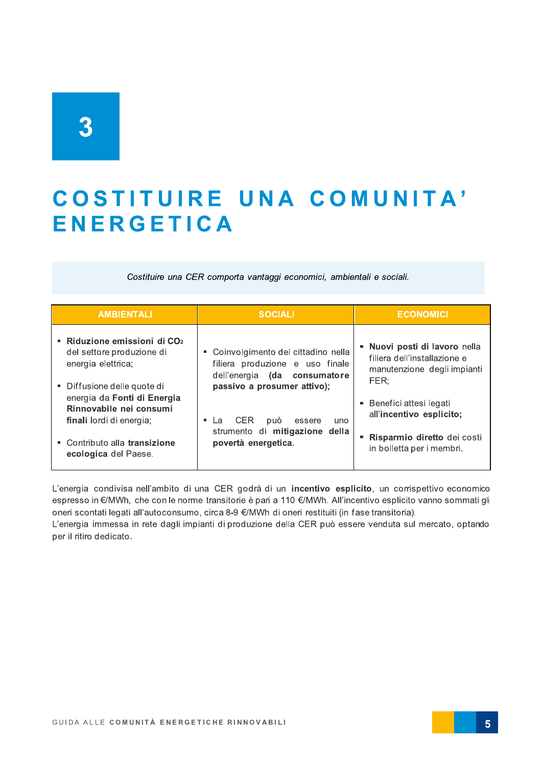### COSTITUIRE UNA COMUNITA' **ENERGETICA**

Costituire una CER comporta vantaggi economici, ambientali e sociali.

| <b>AMBIENTALI</b>                                                                  | <b>SOCIALI</b>                             | <b>ECONOMICI</b>                                   |
|------------------------------------------------------------------------------------|--------------------------------------------|----------------------------------------------------|
| • Riduzione emissioni di CO2                                                       | • Coinvolgimento del cittadino nella       | Nuovi posti di lavoro nella                        |
| del settore produzione di                                                          | filiera produzione e uso finale            | filiera dell'installazione e                       |
| energia elettrica;                                                                 | dell'energia (da consumatore               | manutenzione degli impianti                        |
| ■ Diffusione delle quote di                                                        | passivo a prosumer attivo);                | FER:                                               |
| energia da Fonti di Energia<br>Rinnovabile nei consumi<br>finali lordi di energia; | <b>CER</b><br>può<br>■ La<br>essere<br>uno | Benefici attesi legati<br>all'incentivo esplicito; |
| • Contributo alla transizione                                                      | strumento di mitigazione della             | Risparmio diretto dei costi                        |
| ecologica del Paese.                                                               | povertà energetica.                        | in bolletta per i membri.                          |

L'energia condivisa nell'ambito di una CER godrà di un incentivo esplicito, un corrispettivo economico espresso in €/MWh, che con le norme transitorie è pari a 110 €/MWh. All'incentivo esplicito vanno sommati gli oneri scontati legati all'autoconsumo, circa 8-9 €/MWh di oneri restituiti (in fase transitoria).

L'energia immessa in rete dagli impianti di produzione della CER può essere venduta sul mercato, optando per il ritiro dedicato.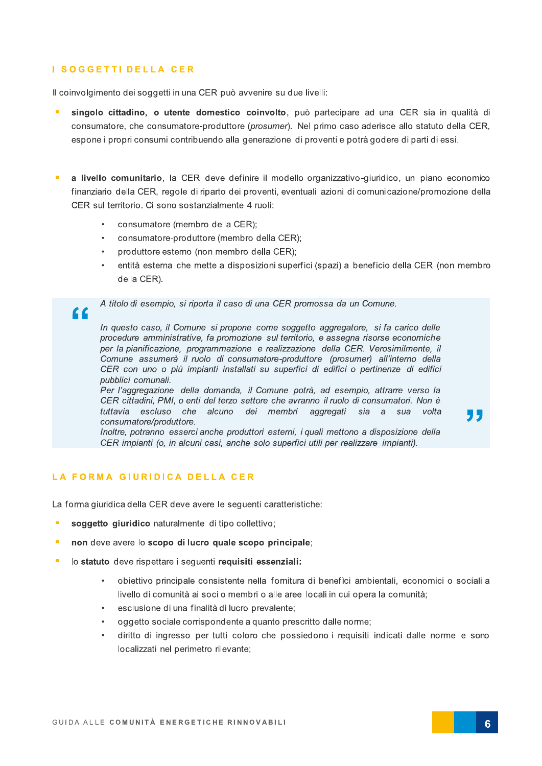#### I SOGGETTI DELLA CER

 $\epsilon$ 

Il coinvolgimento dei soggetti in una CER può avvenire su due livelli:

- singolo cittadino, o utente domestico coinvolto, può partecipare ad una CER sia in qualità di consumatore, che consumatore-produttore (prosumer). Nel primo caso aderisce allo statuto della CER. espone i propri consumi contribuendo alla generazione di proventi e potrà godere di parti di essi.
- a livello comunitario, la CER deve definire il modello organizzativo-giuridico, un piano economico finanziario della CER, regole di riparto dei proventi, eventuali azioni di comunicazione/promozione della CER sul territorio. Ci sono sostanzialmente 4 ruoli:
	- consumatore (membro della CER);
	- consumatore-produttore (membro della CER);
	- produttore esterno (non membro della CER);
	- entità esterna che mette a disposizioni superfici (spazi) a beneficio della CER (non membro della CER).

A titolo di esempio, si riporta il caso di una CER promossa da un Comune.

In questo caso, il Comune si propone come soggetto aggregatore, si fa carico delle procedure amministrative, fa promozione sul territorio, e assegna risorse economiche per la pianificazione, programmazione e realizzazione della CER. Verosimilmente, il Comune assumerà il ruolo di consumatore-produttore (prosumer) all'interno della CER con uno o più impianti installati su superfici di edifici o pertinenze di edifici pubblici comunali.

Per l'aggregazione della domanda, il Comune potrà, ad esempio, attrarre verso la CER cittadini, PMI, o enti del terzo settore che avranno il ruolo di consumatori. Non è tuttavia escluso che alcuno dei membri aggregati sia a sua volta consumatore/produttore.

Inoltre, potranno esserci anche produttori esterni, i quali mettono a disposizione della CER impianti (o, in alcuni casi, anche solo superfici utili per realizzare impianti).

#### LA FORMA GIURIDICA DELLA CER

La forma giuridica della CER deve avere le seguenti caratteristiche:

- soggetto giuridico naturalmente di tipo collettivo;
- non deve avere lo scopo di lucro quale scopo principale;
- lo statuto deve rispettare i seguenti requisiti essenziali:  $\blacksquare$ 
	- obiettivo principale consistente nella fornitura di benefici ambientali, economici o sociali a livello di comunità ai soci o membri o alle aree locali in cui opera la comunità;
	- esclusione di una finalità di lucro prevalente;
	- oggetto sociale corrispondente a quanto prescritto dalle norme;
	- diritto di ingresso per tutti coloro che possiedono i requisiti indicati dalle norme e sono localizzati nel perimetro rilevante;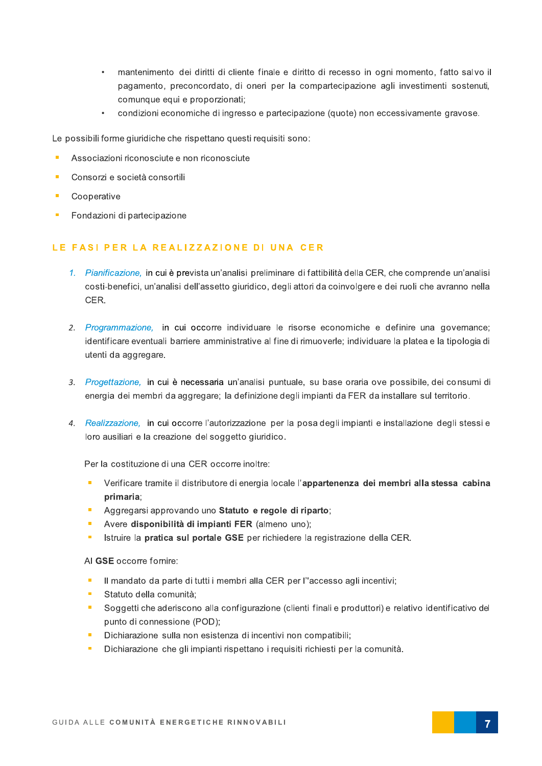- mantenimento dei diritti di cliente finale e diritto di recesso in ogni momento, fatto salvo il pagamento, preconcordato, di oneri per la compartecipazione agli investimenti sostenuti, comunque equi e proporzionati;
- condizioni economiche di ingresso e partecipazione (quote) non eccessivamente gravose.

Le possibili forme giuridiche che rispettano questi requisiti sono:

- Associazioni riconosciute e non riconosciute
- Consorzi e società consortili
- Cooperative ×
- Fondazioni di partecipazione

#### LE FASI PER LA REALIZZAZIONE DI UNA CER

- 1. Pianificazione, in cui è prevista un'analisi preliminare di fattibilità della CER, che comprende un'analisi costi-benefici, un'analisi dell'assetto giuridico, degli attori da coinvolgere e dei ruoli che avranno nella CER.
- 2. Programmazione, in cui occorre individuare le risorse economiche e definire una governance; identificare eventuali barriere amministrative al fine di rimuoverle; individuare la platea e la tipologia di utenti da aggregare.
- 3. Progettazione, in cui è necessaria un'analisi puntuale, su base oraria ove possibile, dei consumi di energia dei membri da aggregare; la definizione degli impianti da FER da installare sul territorio.
- 4. Realizzazione, in cui occorre l'autorizzazione per la posa degli impianti e installazione degli stessi e loro ausiliari e la creazione del soggetto giuridico.

Per la costituzione di una CER occorre inoltre:

- Verificare tramite il distributore di energia locale l'appartenenza dei membri alla stessa cabina primaria;
- Aggregarsi approvando uno Statuto e regole di riparto;
- Avere disponibilità di impianti FER (almeno uno);
- Istruire la pratica sul portale GSE per richiedere la registrazione della CER.

AI GSE occorre fornire:

- $\mathbf{r}$ Il mandato da parte di tutti i membri alla CER per l''accesso agli incentivi;
- Statuto della comunità:
- Soggetti che aderiscono alla configurazione (clienti finali e produttori) e relativo identificativo del punto di connessione (POD);
- Dichiarazione sulla non esistenza di incentivi non compatibili; m.
- Dichiarazione che gli impianti rispettano i requisiti richiesti per la comunità.  $\overline{\phantom{a}}$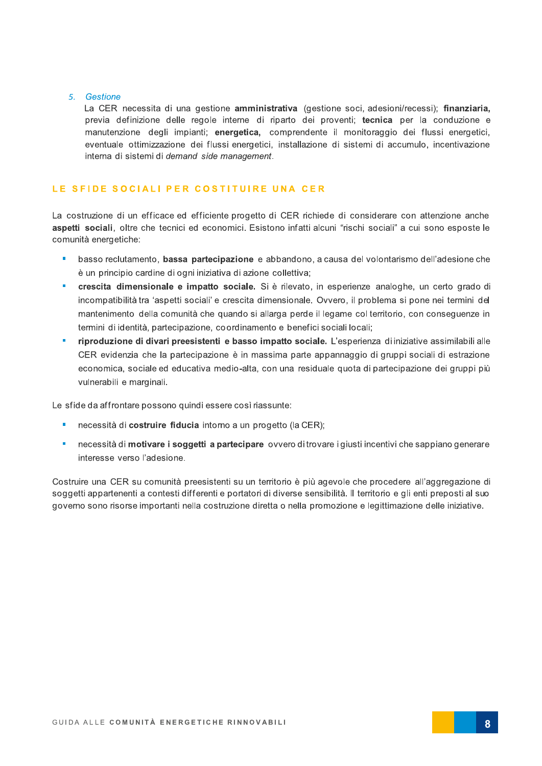#### 5. Gestione

La CER necessita di una gestione amministrativa (gestione soci, adesioni/recessi); finanziaria, previa definizione delle regole interne di riparto dei proventi; tecnica per la conduzione e manutenzione degli impianti; energetica, comprendente il monitoraggio dei flussi energetici, eventuale ottimizzazione dei flussi energetici, installazione di sistemi di accumulo, incentivazione interna di sistemi di demand side management.

#### LE SFIDE SOCIALI PER COSTITUIRE UNA CER

La costruzione di un efficace ed efficiente progetto di CER richiede di considerare con attenzione anche aspetti sociali, oltre che tecnici ed economici. Esistono infatti alcuni "rischi sociali" a cui sono esposte le comunità energetiche:

- basso reclutamento, bassa partecipazione e abbandono, a causa del volontarismo dell'adesione che è un principio cardine di ogni iniziativa di azione collettiva;
- crescita dimensionale e impatto sociale. Si è rilevato, in esperienze analoghe, un certo grado di incompatibilità tra 'aspetti sociali' e crescita dimensionale. Ovvero, il problema si pone nei termini del mantenimento della comunità che quando si allarga perde il legame col territorio, con conseguenze in termini di identità, partecipazione, coordinamento e benefici sociali locali;
- riproduzione di divari preesistenti e basso impatto sociale. L'esperienza di iniziative assimilabili alle CER evidenzia che la partecipazione è in massima parte appannaggio di gruppi sociali di estrazione economica, sociale ed educativa medio-alta, con una residuale quota di partecipazione dei gruppi più vulnerabili e marginali.

Le sfide da affrontare possono quindi essere così riassunte:

- necessità di costruire fiducia intorno a un progetto (la CER);
- necessità di motivare i soggetti a partecipare ovvero di trovare i giusti incentivi che sappiano generare interesse verso l'adesione.

Costruire una CER su comunità preesistenti su un territorio è più agevole che procedere all'aggregazione di soggetti appartenenti a contesti differenti e portatori di diverse sensibilità. Il territorio e gli enti preposti al suo governo sono risorse importanti nella costruzione diretta o nella promozione e legittimazione delle iniziative.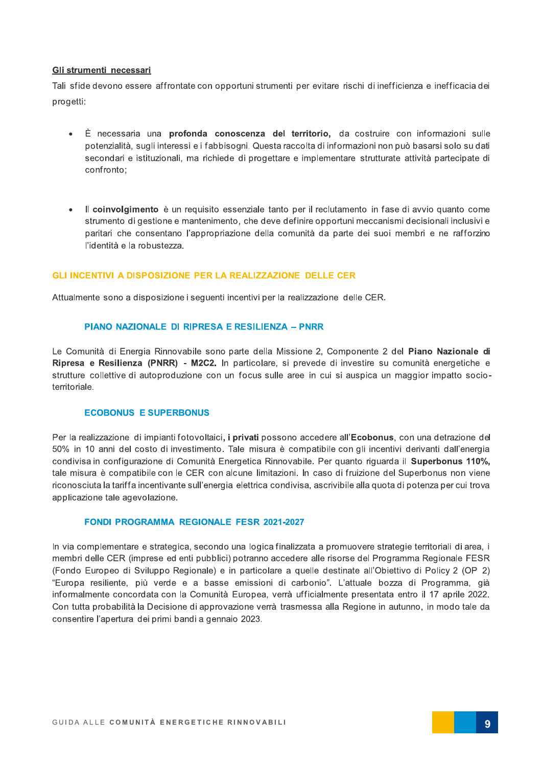#### Gli strumenti necessari

Tali sfide devono essere affrontate con opportuni strumenti per evitare rischi di inefficienza e inefficacia dei progetti:

- È necessaria una profonda conoscenza del territorio, da costruire con informazioni sulle potenzialità, sugli interessi e i fabbisogni. Questa raccolta di informazioni non può basarsi solo su dati secondari e istituzionali, ma richiede di progettare e implementare strutturate attività partecipate di confronto:
- Il coinvolgimento è un requisito essenziale tanto per il reclutamento in fase di avvio quanto come  $\bullet$ strumento di gestione e mantenimento, che deve definire opportuni meccanismi decisionali inclusivi e paritari che consentano l'appropriazione della comunità da parte dei suoi membri e ne rafforzino l'identità e la robustezza.

#### **GLI INCENTIVI A DISPOSIZIONE PER LA REALIZZAZIONE DELLE CER**

Attualmente sono a disposizione i seguenti incentivi per la realizzazione delle CER.

#### PIANO NAZIONALE DI RIPRESA E RESILIENZA - PNRR

Le Comunità di Energia Rinnovabile sono parte della Missione 2, Componente 2 del Piano Nazionale di Ripresa e Resilienza (PNRR) - M2C2. In particolare, si prevede di investire su comunità energetiche e strutture collettive di autoproduzione con un focus sulle aree in cui si auspica un maggior impatto socioterritoriale.

#### **ECOBONUS E SUPERBONUS**

Per la realizzazione di impianti fotovoltaici, i privati possono accedere all'Ecobonus, con una detrazione del 50% in 10 anni del costo di investimento. Tale misura è compatibile con gli incentivi derivanti dall'energia condivisa in configurazione di Comunità Energetica Rinnovabile. Per quanto riguarda il Superbonus 110%, tale misura è compatibile con le CER con alcune limitazioni. In caso di fruizione del Superbonus non viene riconosciuta la tariffa incentivante sull'energia elettrica condivisa, ascrivibile alla quota di potenza per cui trova applicazione tale agevolazione.

#### **FONDI PROGRAMMA REGIONALE FESR 2021-2027**

In via complementare e strategica, secondo una logica finalizzata a promuovere strategie territoriali di area, i membri delle CER (imprese ed enti pubblici) potranno accedere alle risorse del Programma Regionale FESR (Fondo Europeo di Sviluppo Regionale) e in particolare a quelle destinate all'Obiettivo di Policy 2 (OP 2) "Europa resiliente, più verde e a basse emissioni di carbonio". L'attuale bozza di Programma, già informalmente concordata con la Comunità Europea, verrà ufficialmente presentata entro il 17 aprile 2022. Con tutta probabilità la Decisione di approvazione verrà trasmessa alla Regione in autunno, in modo tale da consentire l'apertura dei primi bandi a gennaio 2023.